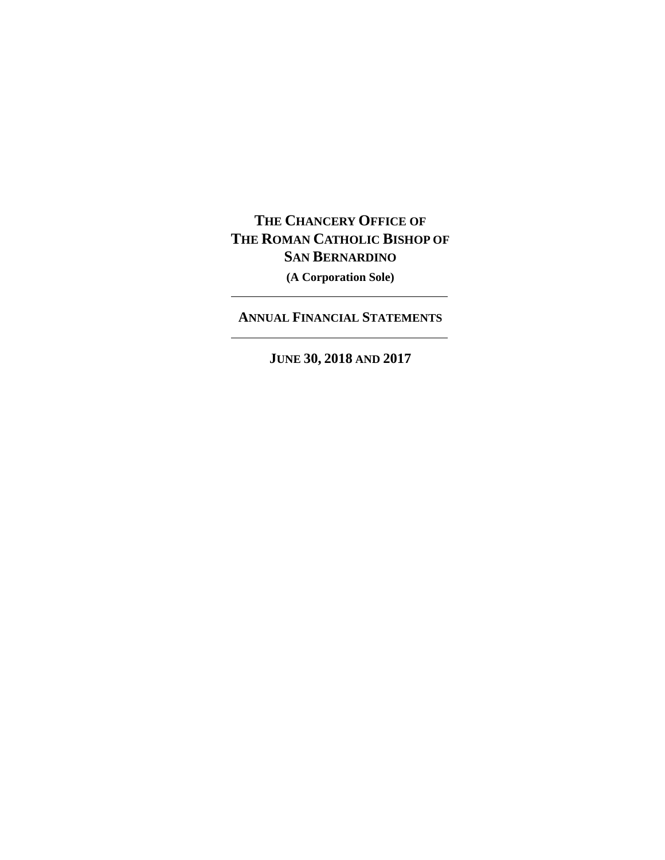# **THE CHANCERY OFFICE OF THE ROMAN CATHOLIC BISHOP OF SAN BERNARDINO**

**(A Corporation Sole)** 

# **ANNUAL FINANCIAL STATEMENTS**

**JUNE 30, 2018 AND 2017**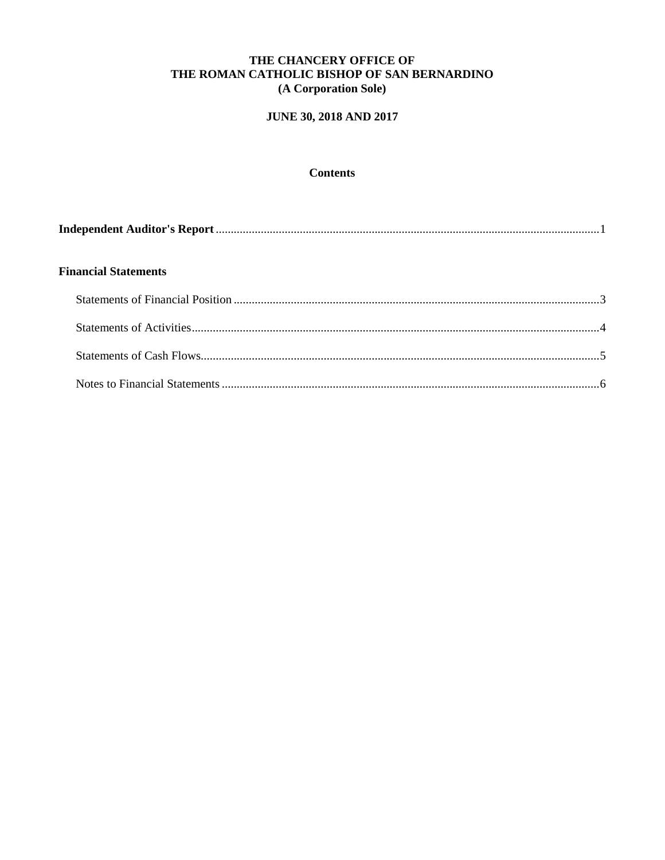# **JUNE 30, 2018 AND 2017**

# **Contents**

| <b>Financial Statements</b> |  |
|-----------------------------|--|
|                             |  |
|                             |  |
|                             |  |
|                             |  |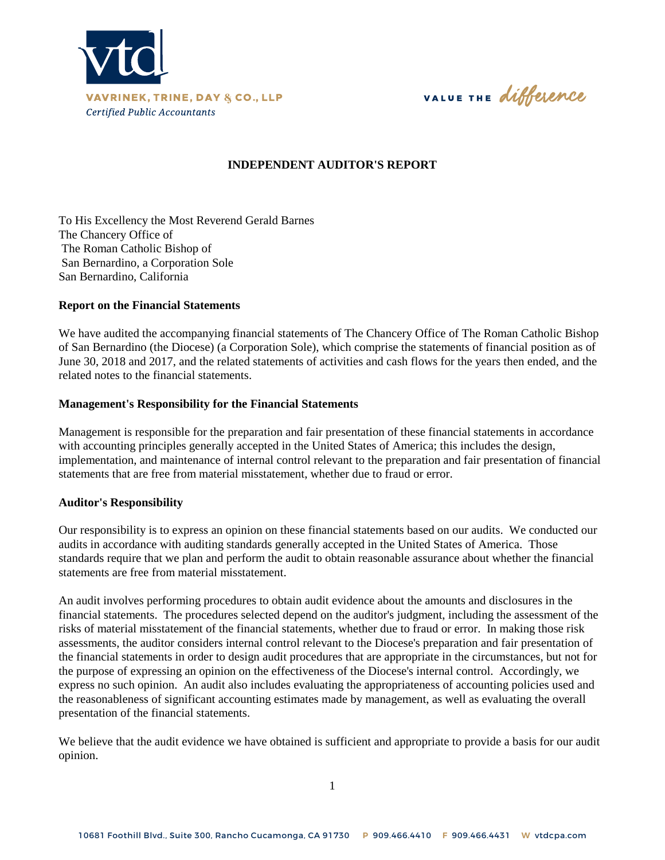

VALUE THE difference

# **INDEPENDENT AUDITOR'S REPORT**

To His Excellency the Most Reverend Gerald Barnes The Chancery Office of The Roman Catholic Bishop of San Bernardino, a Corporation Sole San Bernardino, California

#### **Report on the Financial Statements**

We have audited the accompanying financial statements of The Chancery Office of The Roman Catholic Bishop of San Bernardino (the Diocese) (a Corporation Sole), which comprise the statements of financial position as of June 30, 2018 and 2017, and the related statements of activities and cash flows for the years then ended, and the related notes to the financial statements.

#### **Management's Responsibility for the Financial Statements**

Management is responsible for the preparation and fair presentation of these financial statements in accordance with accounting principles generally accepted in the United States of America; this includes the design, implementation, and maintenance of internal control relevant to the preparation and fair presentation of financial statements that are free from material misstatement, whether due to fraud or error.

#### **Auditor's Responsibility**

Our responsibility is to express an opinion on these financial statements based on our audits. We conducted our audits in accordance with auditing standards generally accepted in the United States of America. Those standards require that we plan and perform the audit to obtain reasonable assurance about whether the financial statements are free from material misstatement.

An audit involves performing procedures to obtain audit evidence about the amounts and disclosures in the financial statements. The procedures selected depend on the auditor's judgment, including the assessment of the risks of material misstatement of the financial statements, whether due to fraud or error. In making those risk assessments, the auditor considers internal control relevant to the Diocese's preparation and fair presentation of the financial statements in order to design audit procedures that are appropriate in the circumstances, but not for the purpose of expressing an opinion on the effectiveness of the Diocese's internal control. Accordingly, we express no such opinion. An audit also includes evaluating the appropriateness of accounting policies used and the reasonableness of significant accounting estimates made by management, as well as evaluating the overall presentation of the financial statements.

We believe that the audit evidence we have obtained is sufficient and appropriate to provide a basis for our audit opinion.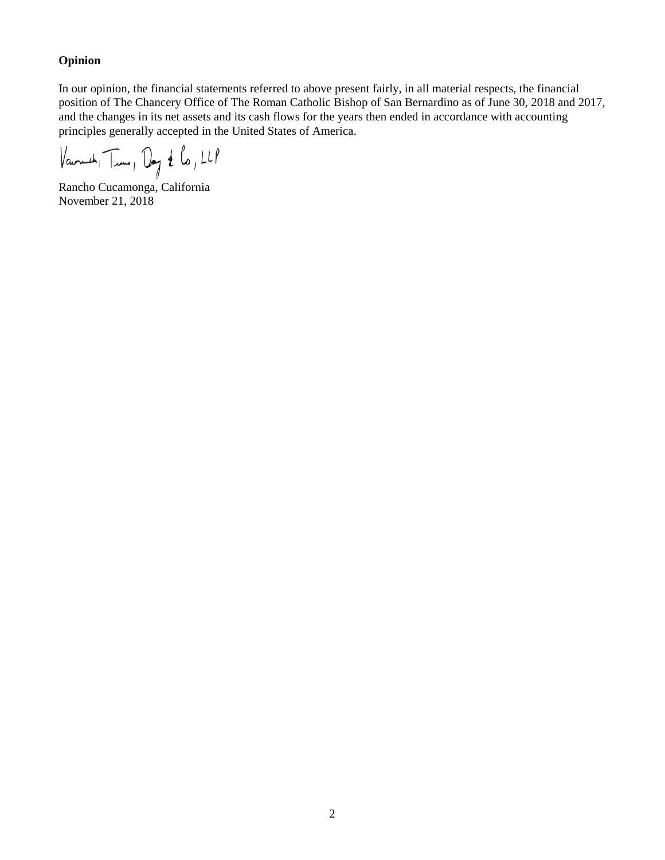# **Opinion**

In our opinion, the financial statements referred to above present fairly, in all material respects, the financial position of The Chancery Office of The Roman Catholic Bishop of San Bernardino as of June 30, 2018 and 2017, and the changes in its net assets and its cash flows for the years then ended in accordance with accounting principles generally accepted in the United States of America.

Varmet, Tune, Dog & Co, LLP

Rancho Cucamonga, California November 21, 2018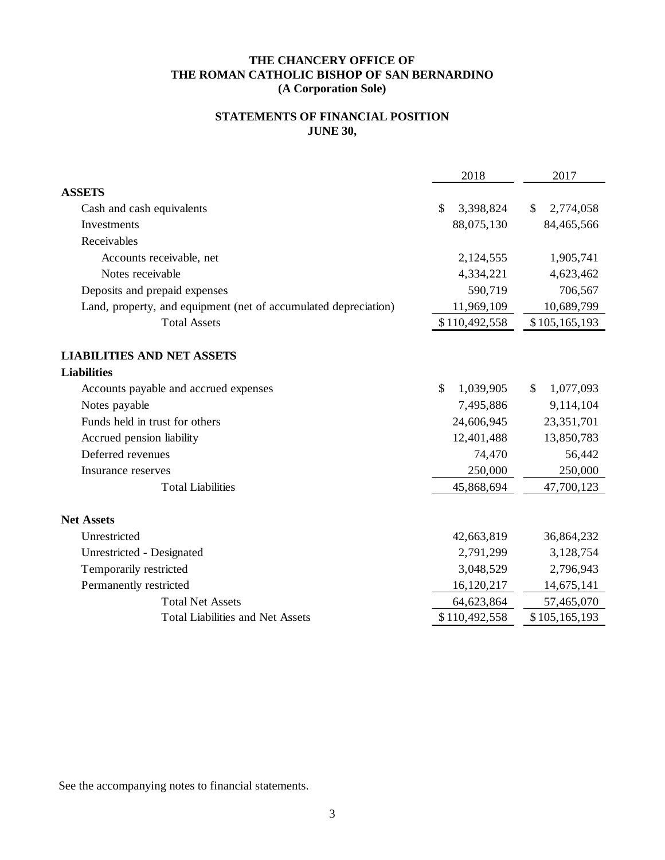# **STATEMENTS OF FINANCIAL POSITION JUNE 30,**

|                                                                 | 2018            | 2017            |
|-----------------------------------------------------------------|-----------------|-----------------|
| <b>ASSETS</b>                                                   |                 |                 |
| Cash and cash equivalents                                       | \$<br>3,398,824 | 2,774,058<br>\$ |
| Investments                                                     | 88,075,130      | 84,465,566      |
| Receivables                                                     |                 |                 |
| Accounts receivable, net                                        | 2,124,555       | 1,905,741       |
| Notes receivable                                                | 4,334,221       | 4,623,462       |
| Deposits and prepaid expenses                                   | 590,719         | 706,567         |
| Land, property, and equipment (net of accumulated depreciation) | 11,969,109      | 10,689,799      |
| <b>Total Assets</b>                                             | \$110,492,558   | \$105,165,193   |
| <b>LIABILITIES AND NET ASSETS</b>                               |                 |                 |
| <b>Liabilities</b>                                              |                 |                 |
|                                                                 | \$<br>1,039,905 | \$<br>1,077,093 |
| Accounts payable and accrued expenses                           | 7,495,886       | 9,114,104       |
| Notes payable                                                   |                 |                 |
| Funds held in trust for others                                  | 24,606,945      | 23,351,701      |
| Accrued pension liability                                       | 12,401,488      | 13,850,783      |
| Deferred revenues                                               | 74,470          | 56,442          |
| Insurance reserves                                              | 250,000         | 250,000         |
| <b>Total Liabilities</b>                                        | 45,868,694      | 47,700,123      |
| <b>Net Assets</b>                                               |                 |                 |
| Unrestricted                                                    | 42,663,819      | 36,864,232      |
| Unrestricted - Designated                                       | 2,791,299       | 3,128,754       |
| Temporarily restricted                                          | 3,048,529       | 2,796,943       |
| Permanently restricted                                          | 16,120,217      | 14,675,141      |
| <b>Total Net Assets</b>                                         | 64,623,864      | 57,465,070      |
| <b>Total Liabilities and Net Assets</b>                         | \$110,492,558   | \$105,165,193   |

See the accompanying notes to financial statements.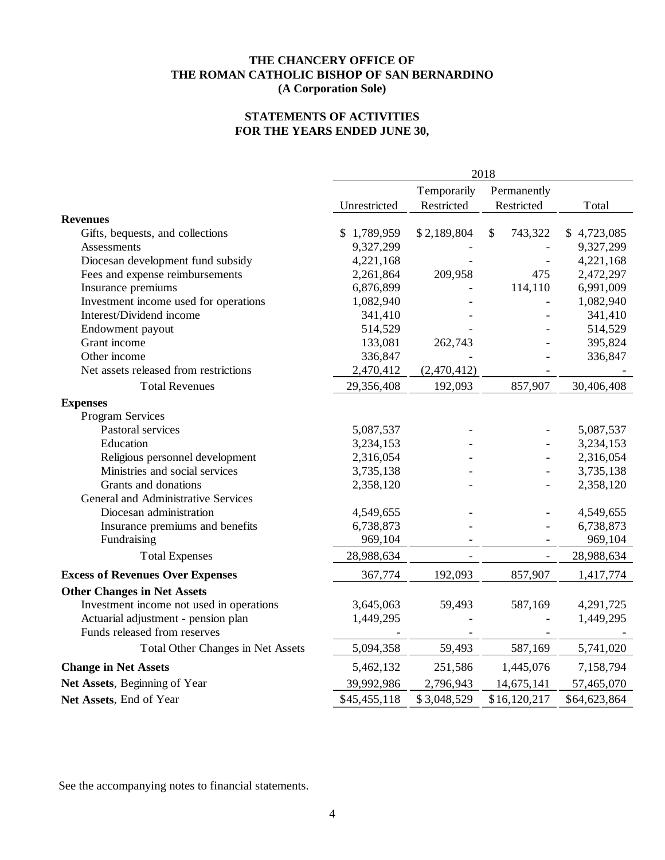# **STATEMENTS OF ACTIVITIES FOR THE YEARS ENDED JUNE 30,**

|                                          | 2018                       |             |                                      |              |
|------------------------------------------|----------------------------|-------------|--------------------------------------|--------------|
|                                          | Temporarily<br>Permanently |             |                                      |              |
|                                          | Unrestricted               | Restricted  | Restricted                           | Total        |
| <b>Revenues</b>                          |                            |             |                                      |              |
| Gifts, bequests, and collections         | \$1,789,959                | \$2,189,804 | $\boldsymbol{\mathsf{S}}$<br>743,322 | \$4,723,085  |
| Assessments                              | 9,327,299                  |             |                                      | 9,327,299    |
| Diocesan development fund subsidy        | 4,221,168                  |             |                                      | 4,221,168    |
| Fees and expense reimbursements          | 2,261,864                  | 209,958     | 475                                  | 2,472,297    |
| Insurance premiums                       | 6,876,899                  |             | 114,110                              | 6,991,009    |
| Investment income used for operations    | 1,082,940                  |             |                                      | 1,082,940    |
| Interest/Dividend income                 | 341,410                    |             |                                      | 341,410      |
| Endowment payout                         | 514,529                    |             |                                      | 514,529      |
| Grant income                             | 133,081                    | 262,743     |                                      | 395,824      |
| Other income                             | 336,847                    |             |                                      | 336,847      |
| Net assets released from restrictions    | 2,470,412                  | (2,470,412) |                                      |              |
| <b>Total Revenues</b>                    | 29,356,408                 | 192,093     | 857,907                              | 30,406,408   |
| <b>Expenses</b>                          |                            |             |                                      |              |
| <b>Program Services</b>                  |                            |             |                                      |              |
| Pastoral services                        | 5,087,537                  |             |                                      | 5,087,537    |
| Education                                | 3,234,153                  |             |                                      | 3,234,153    |
| Religious personnel development          | 2,316,054                  |             |                                      | 2,316,054    |
| Ministries and social services           | 3,735,138                  |             |                                      | 3,735,138    |
| Grants and donations                     | 2,358,120                  |             |                                      | 2,358,120    |
| General and Administrative Services      |                            |             |                                      |              |
| Diocesan administration                  | 4,549,655                  |             |                                      | 4,549,655    |
| Insurance premiums and benefits          | 6,738,873                  |             |                                      | 6,738,873    |
| Fundraising                              | 969,104                    |             |                                      | 969,104      |
| <b>Total Expenses</b>                    | 28,988,634                 |             |                                      | 28,988,634   |
| <b>Excess of Revenues Over Expenses</b>  | 367,774                    | 192,093     | 857,907                              | 1,417,774    |
| <b>Other Changes in Net Assets</b>       |                            |             |                                      |              |
| Investment income not used in operations | 3,645,063                  | 59,493      | 587,169                              | 4,291,725    |
| Actuarial adjustment - pension plan      | 1,449,295                  |             |                                      | 1,449,295    |
| Funds released from reserves             |                            |             |                                      |              |
| Total Other Changes in Net Assets        | 5,094,358                  | 59,493      | 587,169                              | 5,741,020    |
| <b>Change in Net Assets</b>              | 5,462,132                  | 251,586     | 1,445,076                            | 7,158,794    |
| Net Assets, Beginning of Year            | 39,992,986                 | 2,796,943   | 14,675,141                           | 57,465,070   |
| Net Assets, End of Year                  | \$45,455,118               | \$3,048,529 | \$16,120,217                         | \$64,623,864 |

See the accompanying notes to financial statements.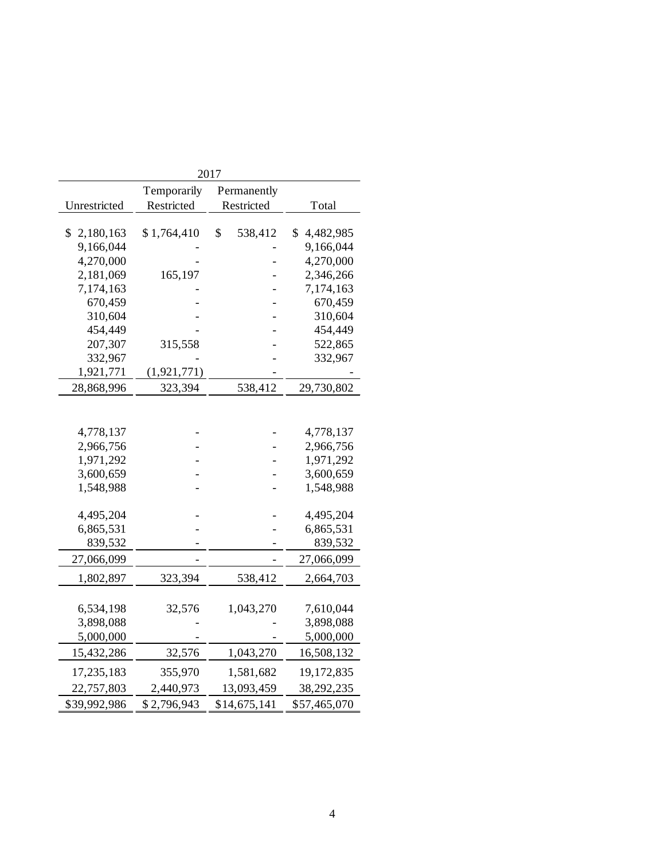| 2017            |               |    |              |              |
|-----------------|---------------|----|--------------|--------------|
|                 | Temporarily   |    | Permanently  |              |
| Unrestricted    | Restricted    |    | Restricted   | Total        |
|                 |               |    |              |              |
| \$<br>2,180,163 | \$1,764,410   | \$ | 538,412      | \$4,482,985  |
| 9,166,044       |               |    |              | 9,166,044    |
| 4,270,000       |               |    |              | 4,270,000    |
| 2,181,069       | 165,197       |    |              | 2,346,266    |
| 7,174,163       |               |    |              | 7,174,163    |
| 670,459         |               |    |              | 670,459      |
| 310,604         |               |    |              | 310,604      |
| 454,449         |               |    |              | 454,449      |
| 207,307         | 315,558       |    |              | 522,865      |
| 332,967         |               |    |              | 332,967      |
| 1,921,771       | (1, 921, 771) |    |              |              |
| 28,868,996      | 323,394       |    | 538,412      | 29,730,802   |
|                 |               |    |              |              |
|                 |               |    |              |              |
| 4,778,137       |               |    |              | 4,778,137    |
| 2,966,756       |               |    |              | 2,966,756    |
| 1,971,292       |               |    |              | 1,971,292    |
| 3,600,659       |               |    |              | 3,600,659    |
| 1,548,988       |               |    |              | 1,548,988    |
|                 |               |    |              |              |
| 4,495,204       |               |    |              | 4,495,204    |
| 6,865,531       |               |    |              | 6,865,531    |
| 839,532         |               |    |              | 839,532      |
| 27,066,099      |               |    |              | 27,066,099   |
| 1,802,897       | 323,394       |    | 538,412      | 2,664,703    |
|                 |               |    |              |              |
| 6,534,198       | 32,576        |    | 1,043,270    | 7,610,044    |
| 3,898,088       |               |    |              | 3,898,088    |
| 5,000,000       |               |    |              | 5,000,000    |
|                 |               |    |              |              |
| 15,432,286      | 32,576        |    | 1,043,270    | 16,508,132   |
| 17,235,183      | 355,970       |    | 1,581,682    | 19,172,835   |
| 22,757,803      | 2,440,973     |    | 13,093,459   | 38,292,235   |
| \$39,992,986    | \$2,796,943   |    | \$14,675,141 | \$57,465,070 |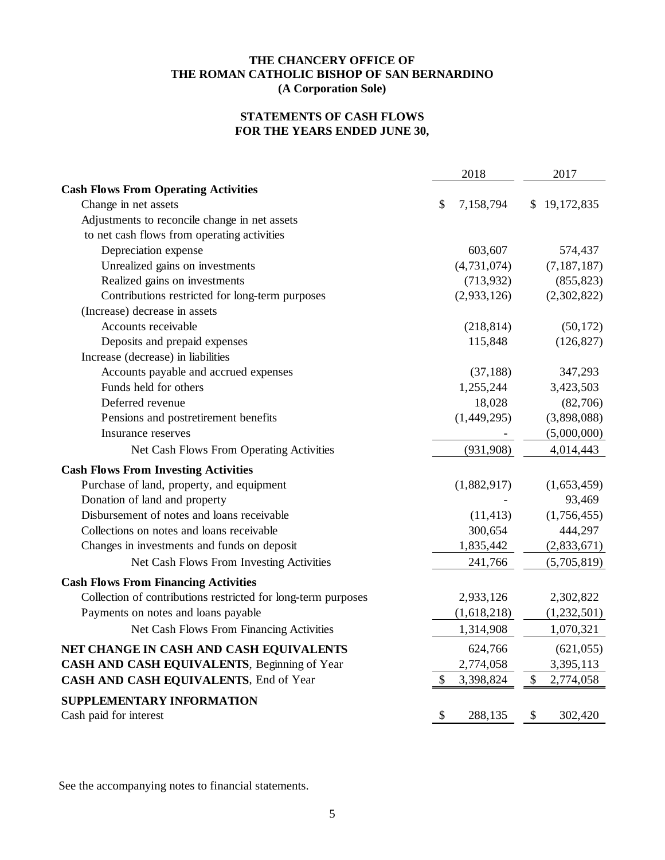# **STATEMENTS OF CASH FLOWS FOR THE YEARS ENDED JUNE 30,**

|                                                               | 2018            | 2017            |
|---------------------------------------------------------------|-----------------|-----------------|
| <b>Cash Flows From Operating Activities</b>                   |                 |                 |
| Change in net assets                                          | \$<br>7,158,794 | \$19,172,835    |
| Adjustments to reconcile change in net assets                 |                 |                 |
| to net cash flows from operating activities                   |                 |                 |
| Depreciation expense                                          | 603,607         | 574,437         |
| Unrealized gains on investments                               | (4, 731, 074)   | (7, 187, 187)   |
| Realized gains on investments                                 | (713, 932)      | (855, 823)      |
| Contributions restricted for long-term purposes               | (2,933,126)     | (2,302,822)     |
| (Increase) decrease in assets                                 |                 |                 |
| Accounts receivable                                           | (218, 814)      | (50, 172)       |
| Deposits and prepaid expenses                                 | 115,848         | (126, 827)      |
| Increase (decrease) in liabilities                            |                 |                 |
| Accounts payable and accrued expenses                         | (37, 188)       | 347,293         |
| Funds held for others                                         | 1,255,244       | 3,423,503       |
| Deferred revenue                                              | 18,028          | (82,706)        |
| Pensions and postretirement benefits                          | (1,449,295)     | (3,898,088)     |
| Insurance reserves                                            |                 | (5,000,000)     |
| Net Cash Flows From Operating Activities                      | (931,908)       | 4,014,443       |
| <b>Cash Flows From Investing Activities</b>                   |                 |                 |
| Purchase of land, property, and equipment                     | (1,882,917)     | (1,653,459)     |
| Donation of land and property                                 |                 | 93,469          |
| Disbursement of notes and loans receivable                    | (11, 413)       | (1,756,455)     |
| Collections on notes and loans receivable                     | 300,654         | 444,297         |
| Changes in investments and funds on deposit                   | 1,835,442       | (2,833,671)     |
| Net Cash Flows From Investing Activities                      | 241,766         | (5,705,819)     |
| <b>Cash Flows From Financing Activities</b>                   |                 |                 |
| Collection of contributions restricted for long-term purposes | 2,933,126       | 2,302,822       |
| Payments on notes and loans payable                           | (1,618,218)     | (1,232,501)     |
| Net Cash Flows From Financing Activities                      | 1,314,908       | 1,070,321       |
| NET CHANGE IN CASH AND CASH EQUIVALENTS                       | 624,766         | (621, 055)      |
| CASH AND CASH EQUIVALENTS, Beginning of Year                  | 2,774,058       | 3,395,113       |
| CASH AND CASH EQUIVALENTS, End of Year                        | \$<br>3,398,824 | \$<br>2,774,058 |
| <b>SUPPLEMENTARY INFORMATION</b>                              |                 |                 |
| Cash paid for interest                                        | \$<br>288,135   | \$<br>302,420   |

See the accompanying notes to financial statements.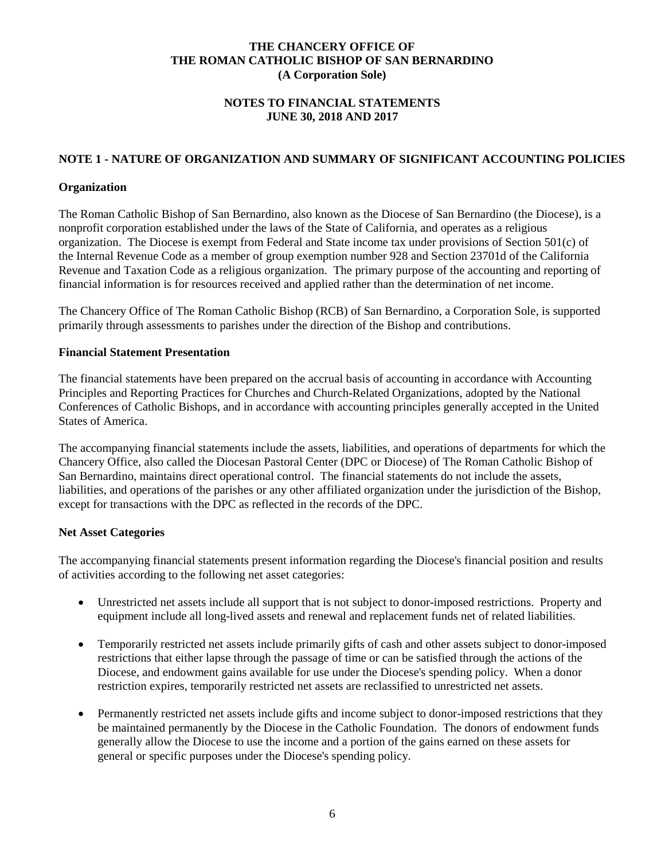# **NOTES TO FINANCIAL STATEMENTS JUNE 30, 2018 AND 2017**

# **NOTE 1 - NATURE OF ORGANIZATION AND SUMMARY OF SIGNIFICANT ACCOUNTING POLICIES**

# **Organization**

The Roman Catholic Bishop of San Bernardino, also known as the Diocese of San Bernardino (the Diocese), is a nonprofit corporation established under the laws of the State of California, and operates as a religious organization. The Diocese is exempt from Federal and State income tax under provisions of Section 501(c) of the Internal Revenue Code as a member of group exemption number 928 and Section 23701d of the California Revenue and Taxation Code as a religious organization. The primary purpose of the accounting and reporting of financial information is for resources received and applied rather than the determination of net income.

The Chancery Office of The Roman Catholic Bishop (RCB) of San Bernardino, a Corporation Sole, is supported primarily through assessments to parishes under the direction of the Bishop and contributions.

# **Financial Statement Presentation**

The financial statements have been prepared on the accrual basis of accounting in accordance with Accounting Principles and Reporting Practices for Churches and Church-Related Organizations, adopted by the National Conferences of Catholic Bishops, and in accordance with accounting principles generally accepted in the United States of America.

The accompanying financial statements include the assets, liabilities, and operations of departments for which the Chancery Office, also called the Diocesan Pastoral Center (DPC or Diocese) of The Roman Catholic Bishop of San Bernardino, maintains direct operational control. The financial statements do not include the assets, liabilities, and operations of the parishes or any other affiliated organization under the jurisdiction of the Bishop, except for transactions with the DPC as reflected in the records of the DPC.

# **Net Asset Categories**

The accompanying financial statements present information regarding the Diocese's financial position and results of activities according to the following net asset categories:

- Unrestricted net assets include all support that is not subject to donor-imposed restrictions. Property and equipment include all long-lived assets and renewal and replacement funds net of related liabilities.
- Temporarily restricted net assets include primarily gifts of cash and other assets subject to donor-imposed restrictions that either lapse through the passage of time or can be satisfied through the actions of the Diocese, and endowment gains available for use under the Diocese's spending policy. When a donor restriction expires, temporarily restricted net assets are reclassified to unrestricted net assets.
- Permanently restricted net assets include gifts and income subject to donor-imposed restrictions that they be maintained permanently by the Diocese in the Catholic Foundation. The donors of endowment funds generally allow the Diocese to use the income and a portion of the gains earned on these assets for general or specific purposes under the Diocese's spending policy.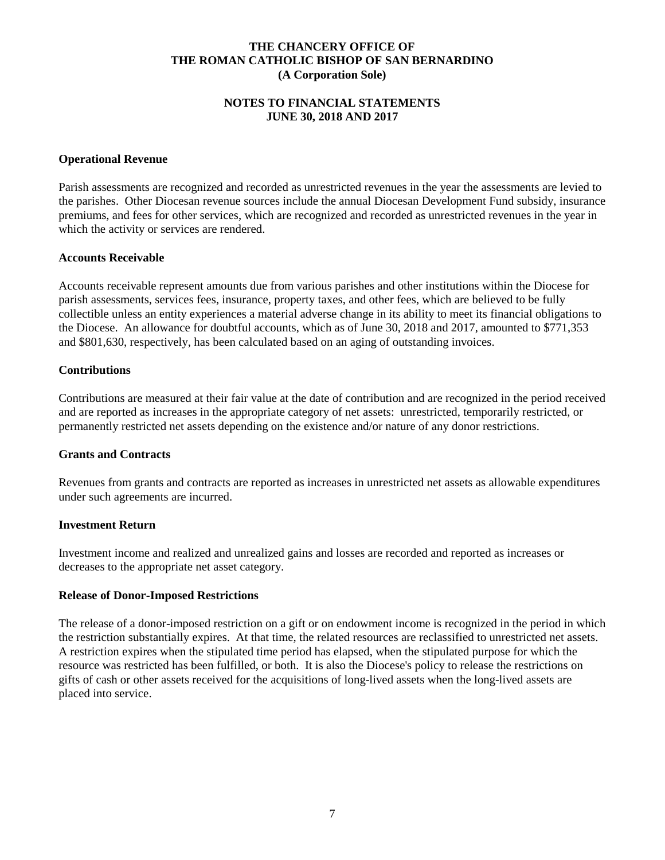# **NOTES TO FINANCIAL STATEMENTS JUNE 30, 2018 AND 2017**

#### **Operational Revenue**

Parish assessments are recognized and recorded as unrestricted revenues in the year the assessments are levied to the parishes. Other Diocesan revenue sources include the annual Diocesan Development Fund subsidy, insurance premiums, and fees for other services, which are recognized and recorded as unrestricted revenues in the year in which the activity or services are rendered.

#### **Accounts Receivable**

Accounts receivable represent amounts due from various parishes and other institutions within the Diocese for parish assessments, services fees, insurance, property taxes, and other fees, which are believed to be fully collectible unless an entity experiences a material adverse change in its ability to meet its financial obligations to the Diocese. An allowance for doubtful accounts, which as of June 30, 2018 and 2017, amounted to \$771,353 and \$801,630, respectively, has been calculated based on an aging of outstanding invoices.

# **Contributions**

Contributions are measured at their fair value at the date of contribution and are recognized in the period received and are reported as increases in the appropriate category of net assets: unrestricted, temporarily restricted, or permanently restricted net assets depending on the existence and/or nature of any donor restrictions.

# **Grants and Contracts**

Revenues from grants and contracts are reported as increases in unrestricted net assets as allowable expenditures under such agreements are incurred.

# **Investment Return**

Investment income and realized and unrealized gains and losses are recorded and reported as increases or decreases to the appropriate net asset category.

#### **Release of Donor-Imposed Restrictions**

The release of a donor-imposed restriction on a gift or on endowment income is recognized in the period in which the restriction substantially expires. At that time, the related resources are reclassified to unrestricted net assets. A restriction expires when the stipulated time period has elapsed, when the stipulated purpose for which the resource was restricted has been fulfilled, or both. It is also the Diocese's policy to release the restrictions on gifts of cash or other assets received for the acquisitions of long-lived assets when the long-lived assets are placed into service.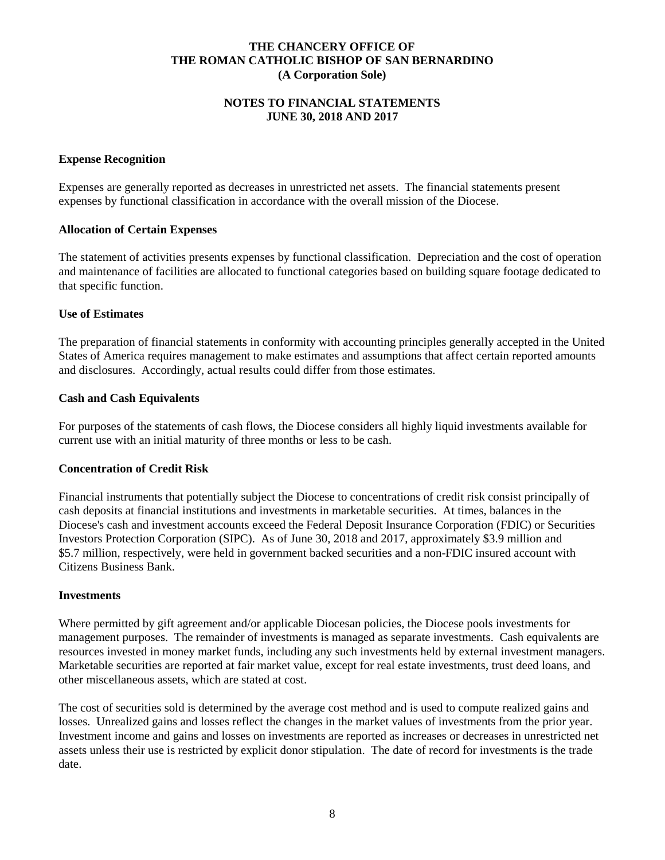# **NOTES TO FINANCIAL STATEMENTS JUNE 30, 2018 AND 2017**

#### **Expense Recognition**

Expenses are generally reported as decreases in unrestricted net assets. The financial statements present expenses by functional classification in accordance with the overall mission of the Diocese.

# **Allocation of Certain Expenses**

The statement of activities presents expenses by functional classification. Depreciation and the cost of operation and maintenance of facilities are allocated to functional categories based on building square footage dedicated to that specific function.

# **Use of Estimates**

The preparation of financial statements in conformity with accounting principles generally accepted in the United States of America requires management to make estimates and assumptions that affect certain reported amounts and disclosures. Accordingly, actual results could differ from those estimates.

#### **Cash and Cash Equivalents**

For purposes of the statements of cash flows, the Diocese considers all highly liquid investments available for current use with an initial maturity of three months or less to be cash.

# **Concentration of Credit Risk**

Financial instruments that potentially subject the Diocese to concentrations of credit risk consist principally of cash deposits at financial institutions and investments in marketable securities. At times, balances in the Diocese's cash and investment accounts exceed the Federal Deposit Insurance Corporation (FDIC) or Securities Investors Protection Corporation (SIPC). As of June 30, 2018 and 2017, approximately \$3.9 million and \$5.7 million, respectively, were held in government backed securities and a non-FDIC insured account with Citizens Business Bank.

#### **Investments**

Where permitted by gift agreement and/or applicable Diocesan policies, the Diocese pools investments for management purposes. The remainder of investments is managed as separate investments. Cash equivalents are resources invested in money market funds, including any such investments held by external investment managers. Marketable securities are reported at fair market value, except for real estate investments, trust deed loans, and other miscellaneous assets, which are stated at cost.

The cost of securities sold is determined by the average cost method and is used to compute realized gains and losses. Unrealized gains and losses reflect the changes in the market values of investments from the prior year. Investment income and gains and losses on investments are reported as increases or decreases in unrestricted net assets unless their use is restricted by explicit donor stipulation. The date of record for investments is the trade date.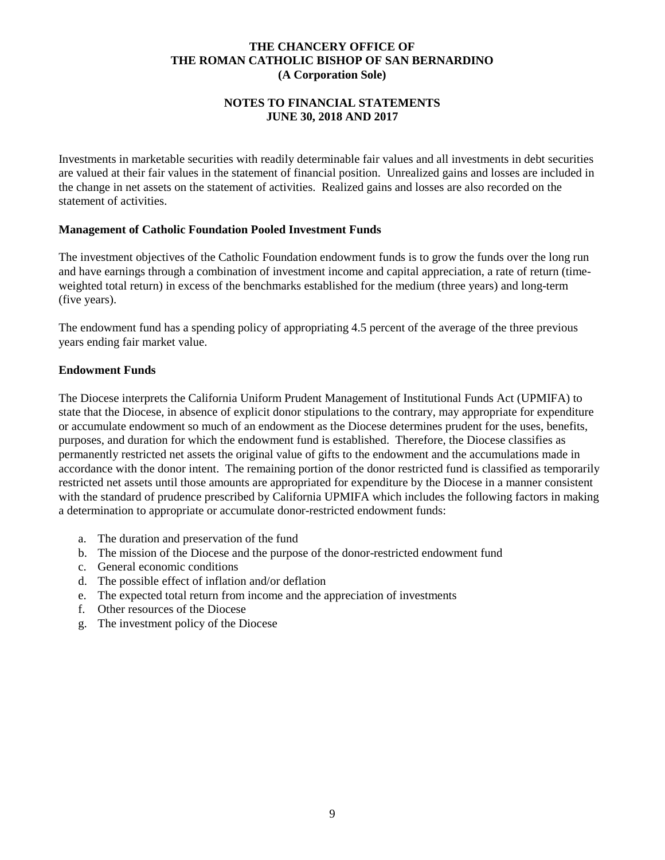# **NOTES TO FINANCIAL STATEMENTS JUNE 30, 2018 AND 2017**

Investments in marketable securities with readily determinable fair values and all investments in debt securities are valued at their fair values in the statement of financial position. Unrealized gains and losses are included in the change in net assets on the statement of activities. Realized gains and losses are also recorded on the statement of activities.

# **Management of Catholic Foundation Pooled Investment Funds**

The investment objectives of the Catholic Foundation endowment funds is to grow the funds over the long run and have earnings through a combination of investment income and capital appreciation, a rate of return (timeweighted total return) in excess of the benchmarks established for the medium (three years) and long-term (five years).

The endowment fund has a spending policy of appropriating 4.5 percent of the average of the three previous years ending fair market value.

# **Endowment Funds**

The Diocese interprets the California Uniform Prudent Management of Institutional Funds Act (UPMIFA) to state that the Diocese, in absence of explicit donor stipulations to the contrary, may appropriate for expenditure or accumulate endowment so much of an endowment as the Diocese determines prudent for the uses, benefits, purposes, and duration for which the endowment fund is established. Therefore, the Diocese classifies as permanently restricted net assets the original value of gifts to the endowment and the accumulations made in accordance with the donor intent. The remaining portion of the donor restricted fund is classified as temporarily restricted net assets until those amounts are appropriated for expenditure by the Diocese in a manner consistent with the standard of prudence prescribed by California UPMIFA which includes the following factors in making a determination to appropriate or accumulate donor-restricted endowment funds:

- a. The duration and preservation of the fund
- b. The mission of the Diocese and the purpose of the donor-restricted endowment fund
- c. General economic conditions
- d. The possible effect of inflation and/or deflation
- e. The expected total return from income and the appreciation of investments
- f. Other resources of the Diocese
- g. The investment policy of the Diocese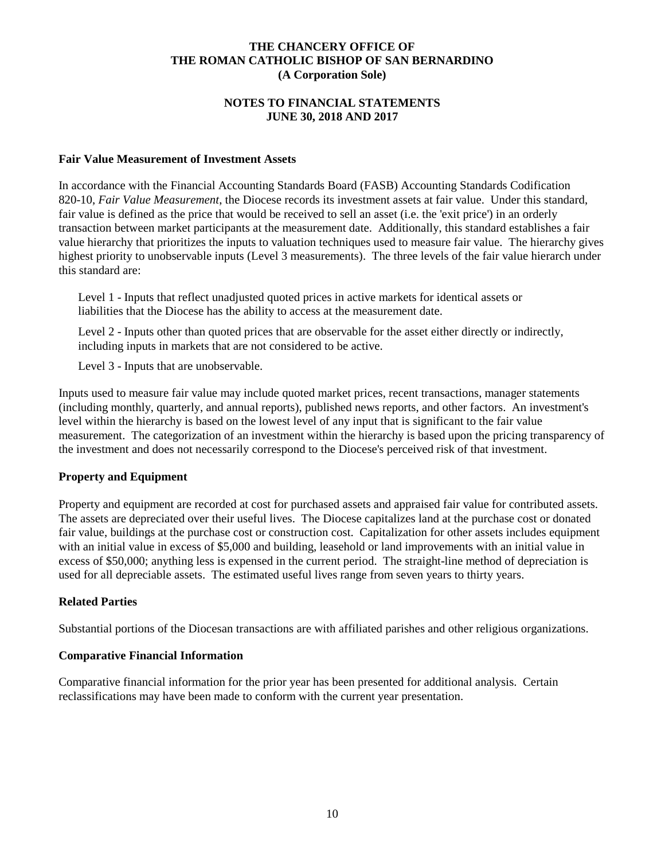# **NOTES TO FINANCIAL STATEMENTS JUNE 30, 2018 AND 2017**

#### **Fair Value Measurement of Investment Assets**

In accordance with the Financial Accounting Standards Board (FASB) Accounting Standards Codification 820-10, *Fair Value Measurement*, the Diocese records its investment assets at fair value. Under this standard, fair value is defined as the price that would be received to sell an asset (i.e. the 'exit price') in an orderly transaction between market participants at the measurement date. Additionally, this standard establishes a fair value hierarchy that prioritizes the inputs to valuation techniques used to measure fair value. The hierarchy gives highest priority to unobservable inputs (Level 3 measurements). The three levels of the fair value hierarch under this standard are:

Level 1 - Inputs that reflect unadjusted quoted prices in active markets for identical assets or liabilities that the Diocese has the ability to access at the measurement date.

Level 2 - Inputs other than quoted prices that are observable for the asset either directly or indirectly, including inputs in markets that are not considered to be active.

Level 3 - Inputs that are unobservable.

Inputs used to measure fair value may include quoted market prices, recent transactions, manager statements (including monthly, quarterly, and annual reports), published news reports, and other factors. An investment's level within the hierarchy is based on the lowest level of any input that is significant to the fair value measurement. The categorization of an investment within the hierarchy is based upon the pricing transparency of the investment and does not necessarily correspond to the Diocese's perceived risk of that investment.

# **Property and Equipment**

Property and equipment are recorded at cost for purchased assets and appraised fair value for contributed assets. The assets are depreciated over their useful lives. The Diocese capitalizes land at the purchase cost or donated fair value, buildings at the purchase cost or construction cost. Capitalization for other assets includes equipment with an initial value in excess of \$5,000 and building, leasehold or land improvements with an initial value in excess of \$50,000; anything less is expensed in the current period. The straight-line method of depreciation is used for all depreciable assets. The estimated useful lives range from seven years to thirty years.

# **Related Parties**

Substantial portions of the Diocesan transactions are with affiliated parishes and other religious organizations.

# **Comparative Financial Information**

Comparative financial information for the prior year has been presented for additional analysis. Certain reclassifications may have been made to conform with the current year presentation.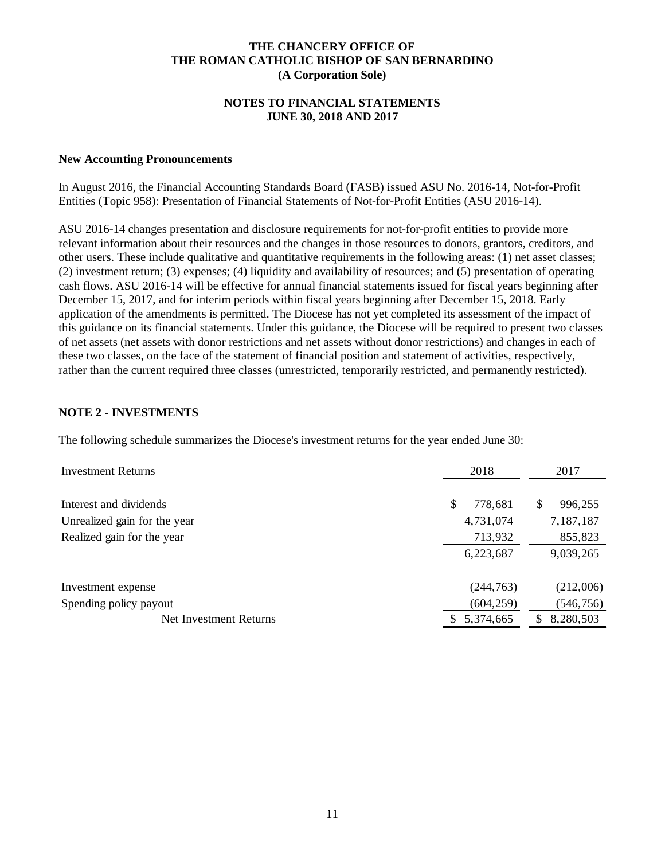# **NOTES TO FINANCIAL STATEMENTS JUNE 30, 2018 AND 2017**

#### **New Accounting Pronouncements**

In August 2016, the Financial Accounting Standards Board (FASB) issued ASU No. 2016-14, Not-for-Profit Entities (Topic 958): Presentation of Financial Statements of Not-for-Profit Entities (ASU 2016-14).

ASU 2016-14 changes presentation and disclosure requirements for not-for-profit entities to provide more relevant information about their resources and the changes in those resources to donors, grantors, creditors, and other users. These include qualitative and quantitative requirements in the following areas: (1) net asset classes; (2) investment return; (3) expenses; (4) liquidity and availability of resources; and (5) presentation of operating cash flows. ASU 2016-14 will be effective for annual financial statements issued for fiscal years beginning after December 15, 2017, and for interim periods within fiscal years beginning after December 15, 2018. Early application of the amendments is permitted. The Diocese has not yet completed its assessment of the impact of this guidance on its financial statements. Under this guidance, the Diocese will be required to present two classes of net assets (net assets with donor restrictions and net assets without donor restrictions) and changes in each of these two classes, on the face of the statement of financial position and statement of activities, respectively, rather than the current required three classes (unrestricted, temporarily restricted, and permanently restricted).

# **NOTE 2 - INVESTMENTS**

The following schedule summarizes the Diocese's investment returns for the year ended June 30:

| <b>Investment Returns</b>    | 2018          | 2017         |  |
|------------------------------|---------------|--------------|--|
|                              |               |              |  |
| Interest and dividends       | \$<br>778,681 | 996,255<br>S |  |
| Unrealized gain for the year | 4,731,074     | 7,187,187    |  |
| Realized gain for the year   | 713,932       | 855,823      |  |
|                              | 6,223,687     | 9,039,265    |  |
| Investment expense           | (244, 763)    | (212,006)    |  |
| Spending policy payout       | (604, 259)    | (546, 756)   |  |
| Net Investment Returns       | 5,374,665     | 8,280,503    |  |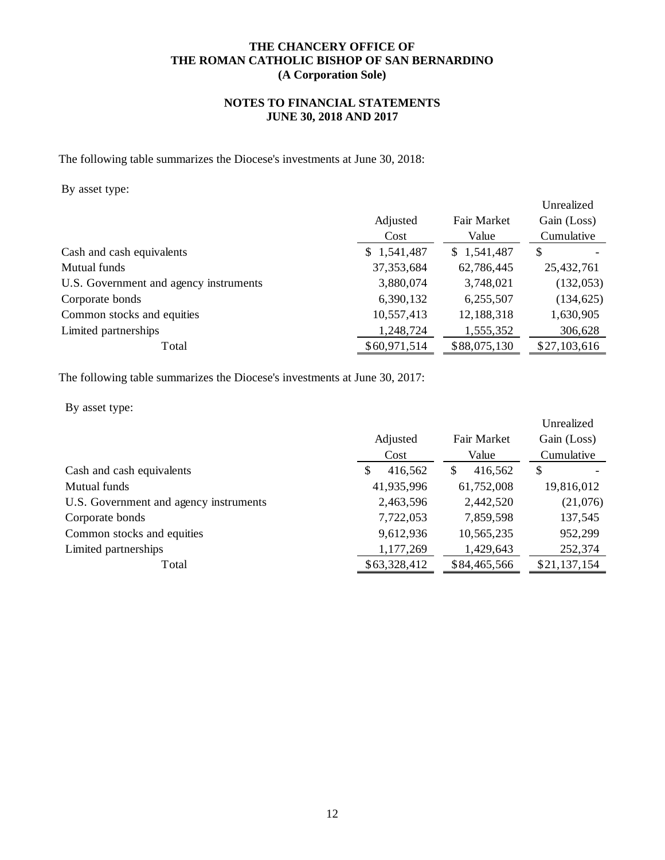# **NOTES TO FINANCIAL STATEMENTS JUNE 30, 2018 AND 2017**

The following table summarizes the Diocese's investments at June 30, 2018:

By asset type:

|                                        | Adjusted<br>Cost | Fair Market<br>Value | Unrealized<br>Gain (Loss)<br>Cumulative |
|----------------------------------------|------------------|----------------------|-----------------------------------------|
| Cash and cash equivalents              | \$1,541,487      | \$1,541,487          | S                                       |
| Mutual funds                           | 37, 353, 684     | 62,786,445           | 25,432,761                              |
| U.S. Government and agency instruments | 3,880,074        | 3,748,021            | (132,053)                               |
| Corporate bonds                        | 6,390,132        | 6,255,507            | (134, 625)                              |
| Common stocks and equities             | 10,557,413       | 12,188,318           | 1,630,905                               |
| Limited partnerships                   | 1,248,724        | 1,555,352            | 306,628                                 |
| Total                                  | \$60,971,514     | \$88,075,130         | \$27,103,616                            |
|                                        |                  |                      |                                         |

The following table summarizes the Diocese's investments at June 30, 2017:

By asset type:

|                                        |              |               | Unrealized   |
|----------------------------------------|--------------|---------------|--------------|
|                                        | Adjusted     | Fair Market   | Gain (Loss)  |
|                                        | Cost         | Value         | Cumulative   |
| Cash and cash equivalents              | 416,562<br>S | 416,562<br>\$ | \$           |
| Mutual funds                           | 41,935,996   | 61,752,008    | 19,816,012   |
| U.S. Government and agency instruments | 2,463,596    | 2,442,520     | (21,076)     |
| Corporate bonds                        | 7,722,053    | 7,859,598     | 137,545      |
| Common stocks and equities             | 9,612,936    | 10,565,235    | 952,299      |
| Limited partnerships                   | 1,177,269    | 1,429,643     | 252,374      |
| Total                                  | \$63,328,412 | \$84,465,566  | \$21,137,154 |
|                                        |              |               |              |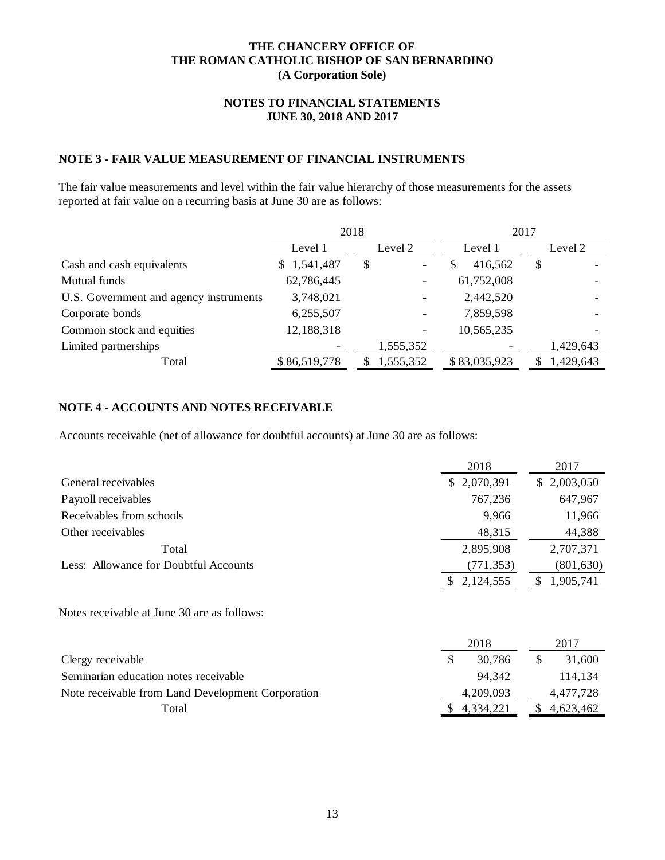# **NOTES TO FINANCIAL STATEMENTS JUNE 30, 2018 AND 2017**

# **NOTE 3 - FAIR VALUE MEASUREMENT OF FINANCIAL INSTRUMENTS**

The fair value measurements and level within the fair value hierarchy of those measurements for the assets reported at fair value on a recurring basis at June 30 are as follows:

|                                        |                 | 2018      | 2017         |           |  |
|----------------------------------------|-----------------|-----------|--------------|-----------|--|
|                                        | Level 1         | Level 2   | Level 1      | Level 2   |  |
| Cash and cash equivalents              | 1,541,487<br>S. | \$        | 416,562<br>S | \$        |  |
| Mutual funds                           | 62,786,445      |           | 61,752,008   |           |  |
| U.S. Government and agency instruments | 3,748,021       |           | 2,442,520    |           |  |
| Corporate bonds                        | 6,255,507       |           | 7,859,598    |           |  |
| Common stock and equities              | 12,188,318      |           | 10,565,235   |           |  |
| Limited partnerships                   |                 | 1,555,352 |              | 1,429,643 |  |
| Total                                  | \$86,519,778    | 1,555,352 | \$83,035,923 | 1,429,643 |  |

# **NOTE 4 - ACCOUNTS AND NOTES RECEIVABLE**

Accounts receivable (net of allowance for doubtful accounts) at June 30 are as follows:

|                                             | 2018        | 2017           |
|---------------------------------------------|-------------|----------------|
| General receivables                         | \$2,070,391 | \$2,003,050    |
| Payroll receivables                         | 767,236     | 647,967        |
| Receivables from schools                    | 9,966       | 11,966         |
| Other receivables                           | 48,315      | 44,388         |
| Total                                       | 2,895,908   | 2,707,371      |
| Less: Allowance for Doubtful Accounts       | (771, 353)  | (801, 630)     |
|                                             | \$2,124,555 | 1,905,741<br>Ъ |
| Notes receivable at June 30 are as follows: |             |                |

|                                                   | 2018 |             | 2017      |
|---------------------------------------------------|------|-------------|-----------|
| Clergy receivable                                 |      | 30.786      | 31,600    |
| Seminarian education notes receivable             |      | 94.342      | 114.134   |
| Note receivable from Land Development Corporation |      | 4,209,093   | 4,477,728 |
| Total                                             |      | \$4,334,221 | 4,623,462 |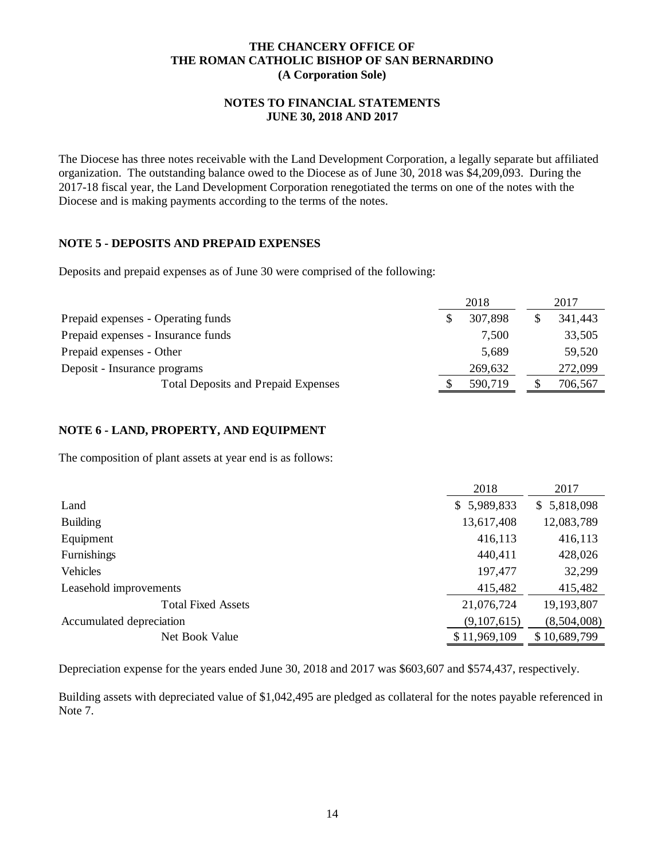# **NOTES TO FINANCIAL STATEMENTS JUNE 30, 2018 AND 2017**

The Diocese has three notes receivable with the Land Development Corporation, a legally separate but affiliated organization. The outstanding balance owed to the Diocese as of June 30, 2018 was \$4,209,093. During the 2017-18 fiscal year, the Land Development Corporation renegotiated the terms on one of the notes with the Diocese and is making payments according to the terms of the notes.

# **NOTE 5 - DEPOSITS AND PREPAID EXPENSES**

Deposits and prepaid expenses as of June 30 were comprised of the following:

|                                            | 2018 |         | 2017    |
|--------------------------------------------|------|---------|---------|
| Prepaid expenses - Operating funds         |      | 307,898 | 341,443 |
| Prepaid expenses - Insurance funds         |      | 7.500   | 33,505  |
| Prepaid expenses - Other                   |      | 5,689   | 59,520  |
| Deposit - Insurance programs               |      | 269,632 | 272,099 |
| <b>Total Deposits and Prepaid Expenses</b> |      | 590.719 | 706,567 |

# **NOTE 6 - LAND, PROPERTY, AND EQUIPMENT**

The composition of plant assets at year end is as follows:

|                           | 2018         | 2017         |
|---------------------------|--------------|--------------|
| Land                      | \$5,989,833  | \$5,818,098  |
| <b>Building</b>           | 13,617,408   | 12,083,789   |
| Equipment                 | 416,113      | 416,113      |
| Furnishings               | 440,411      | 428,026      |
| Vehicles                  | 197,477      | 32,299       |
| Leasehold improvements    | 415,482      | 415,482      |
| <b>Total Fixed Assets</b> | 21,076,724   | 19,193,807   |
| Accumulated depreciation  | (9,107,615)  | (8,504,008)  |
| Net Book Value            | \$11,969,109 | \$10,689,799 |

Depreciation expense for the years ended June 30, 2018 and 2017 was \$603,607 and \$574,437, respectively.

Building assets with depreciated value of \$1,042,495 are pledged as collateral for the notes payable referenced in Note 7.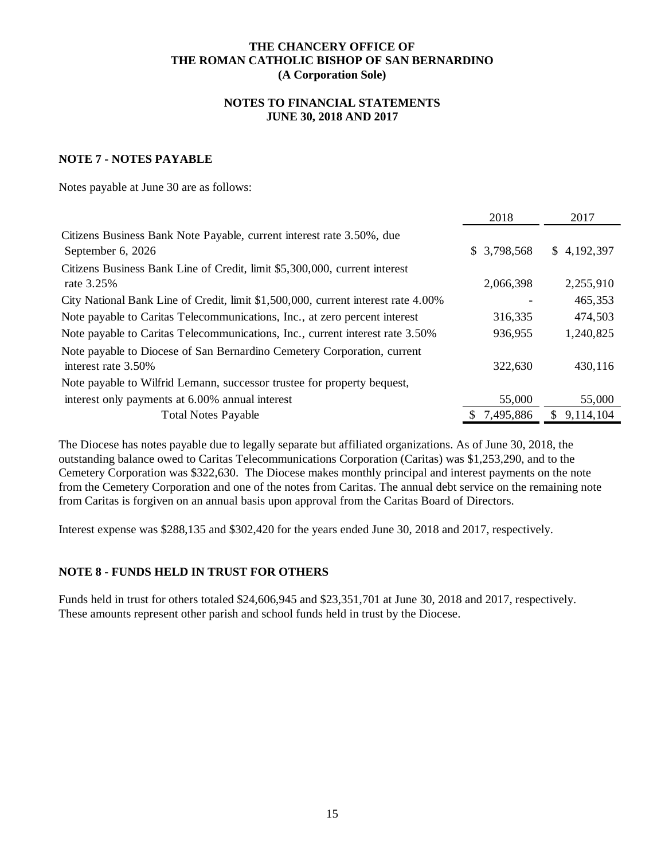# **NOTES TO FINANCIAL STATEMENTS JUNE 30, 2018 AND 2017**

# **NOTE 7 - NOTES PAYABLE**

Notes payable at June 30 are as follows:

|                                                                                   | 2018        | 2017            |
|-----------------------------------------------------------------------------------|-------------|-----------------|
| Citizens Business Bank Note Payable, current interest rate 3.50%, due             |             |                 |
| September 6, 2026                                                                 | \$3,798,568 | \$4,192,397     |
| Citizens Business Bank Line of Credit, limit \$5,300,000, current interest        |             |                 |
| rate 3.25%                                                                        | 2,066,398   | 2,255,910       |
| City National Bank Line of Credit, limit \$1,500,000, current interest rate 4.00% |             | 465,353         |
| Note payable to Caritas Telecommunications, Inc., at zero percent interest        | 316,335     | 474,503         |
| Note payable to Caritas Telecommunications, Inc., current interest rate 3.50%     | 936,955     | 1,240,825       |
| Note payable to Diocese of San Bernardino Cemetery Corporation, current           |             |                 |
| interest rate 3.50%                                                               | 322,630     | 430,116         |
| Note payable to Wilfrid Lemann, successor trustee for property bequest,           |             |                 |
| interest only payments at 6.00% annual interest                                   | 55,000      | 55,000          |
| <b>Total Notes Payable</b>                                                        | 7,495,886   | 9,114,104<br>S. |

The Diocese has notes payable due to legally separate but affiliated organizations. As of June 30, 2018, the outstanding balance owed to Caritas Telecommunications Corporation (Caritas) was \$1,253,290, and to the Cemetery Corporation was \$322,630. The Diocese makes monthly principal and interest payments on the note from the Cemetery Corporation and one of the notes from Caritas. The annual debt service on the remaining note from Caritas is forgiven on an annual basis upon approval from the Caritas Board of Directors.

Interest expense was \$288,135 and \$302,420 for the years ended June 30, 2018 and 2017, respectively.

# **NOTE 8 - FUNDS HELD IN TRUST FOR OTHERS**

Funds held in trust for others totaled \$24,606,945 and \$23,351,701 at June 30, 2018 and 2017, respectively. These amounts represent other parish and school funds held in trust by the Diocese.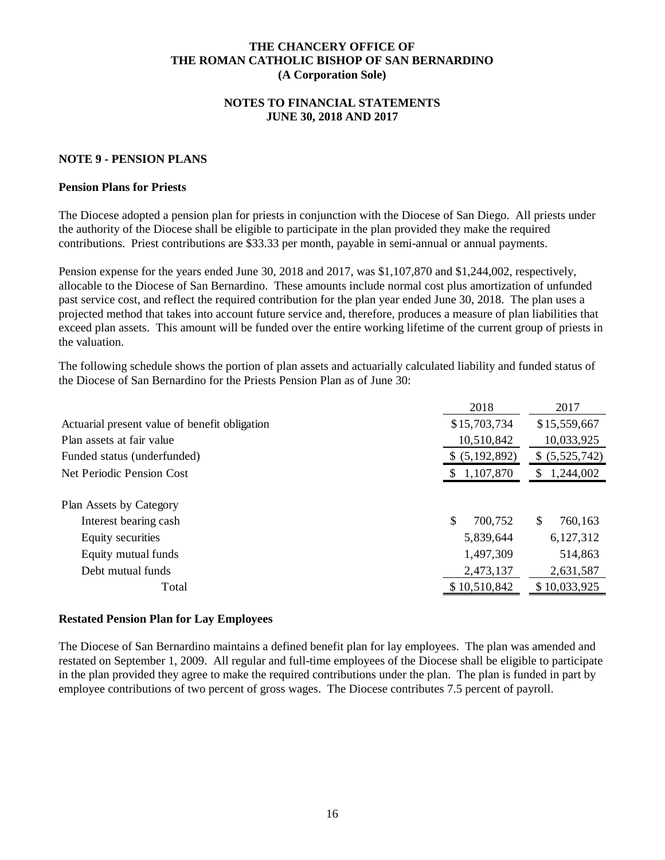# **NOTES TO FINANCIAL STATEMENTS JUNE 30, 2018 AND 2017**

#### **NOTE 9 - PENSION PLANS**

#### **Pension Plans for Priests**

The Diocese adopted a pension plan for priests in conjunction with the Diocese of San Diego. All priests under the authority of the Diocese shall be eligible to participate in the plan provided they make the required contributions. Priest contributions are \$33.33 per month, payable in semi-annual or annual payments.

Pension expense for the years ended June 30, 2018 and 2017, was \$1,107,870 and \$1,244,002, respectively, allocable to the Diocese of San Bernardino. These amounts include normal cost plus amortization of unfunded past service cost, and reflect the required contribution for the plan year ended June 30, 2018. The plan uses a projected method that takes into account future service and, therefore, produces a measure of plan liabilities that exceed plan assets. This amount will be funded over the entire working lifetime of the current group of priests in the valuation.

The following schedule shows the portion of plan assets and actuarially calculated liability and funded status of the Diocese of San Bernardino for the Priests Pension Plan as of June 30:

|                                               | 2018           | 2017           |
|-----------------------------------------------|----------------|----------------|
| Actuarial present value of benefit obligation | \$15,703,734   | \$15,559,667   |
| Plan assets at fair value                     | 10,510,842     | 10,033,925     |
| Funded status (underfunded)                   | \$ (5,192,892) | \$ (5,525,742) |
| Net Periodic Pension Cost                     | \$1,107,870    | 1,244,002<br>S |
|                                               |                |                |
| Plan Assets by Category                       |                |                |
| Interest bearing cash                         | \$<br>700,752  | \$.<br>760,163 |
| Equity securities                             | 5,839,644      | 6,127,312      |
| Equity mutual funds                           | 1,497,309      | 514,863        |
| Debt mutual funds                             | 2,473,137      | 2,631,587      |
| Total                                         | \$10,510,842   | \$10,033,925   |

# **Restated Pension Plan for Lay Employees**

The Diocese of San Bernardino maintains a defined benefit plan for lay employees. The plan was amended and restated on September 1, 2009. All regular and full-time employees of the Diocese shall be eligible to participate in the plan provided they agree to make the required contributions under the plan. The plan is funded in part by employee contributions of two percent of gross wages. The Diocese contributes 7.5 percent of payroll.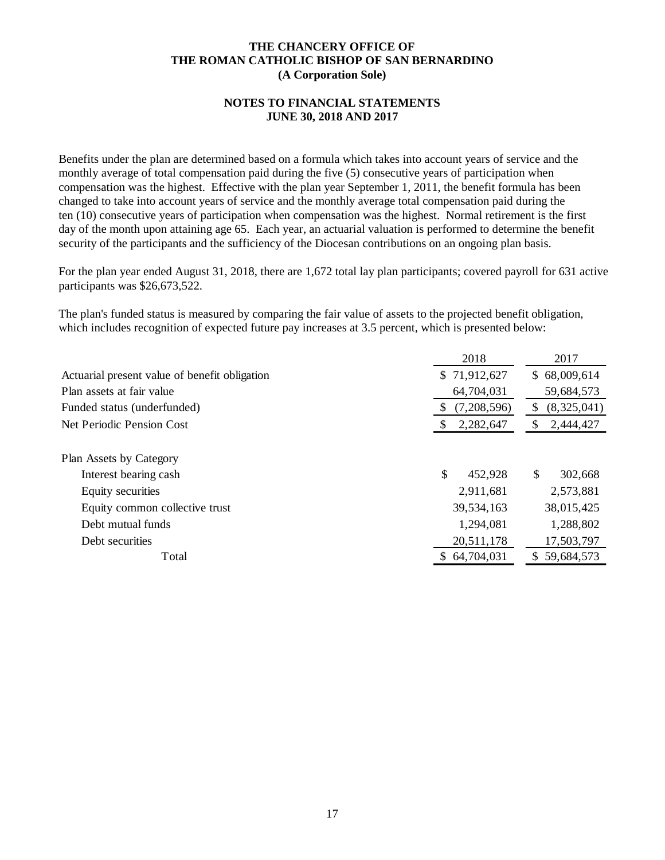# **NOTES TO FINANCIAL STATEMENTS JUNE 30, 2018 AND 2017**

Benefits under the plan are determined based on a formula which takes into account years of service and the monthly average of total compensation paid during the five (5) consecutive years of participation when compensation was the highest. Effective with the plan year September 1, 2011, the benefit formula has been changed to take into account years of service and the monthly average total compensation paid during the ten (10) consecutive years of participation when compensation was the highest. Normal retirement is the first day of the month upon attaining age 65. Each year, an actuarial valuation is performed to determine the benefit security of the participants and the sufficiency of the Diocesan contributions on an ongoing plan basis.

For the plan year ended August 31, 2018, there are 1,672 total lay plan participants; covered payroll for 631 active participants was \$26,673,522.

The plan's funded status is measured by comparing the fair value of assets to the projected benefit obligation, which includes recognition of expected future pay increases at 3.5 percent, which is presented below:

| 2018             | 2017           |
|------------------|----------------|
| \$71,912,627     | \$68,009,614   |
| 64,704,031       | 59,684,573     |
| (7,208,596)<br>S | (8,325,041)    |
| 2,282,647        | 2,444,427      |
|                  |                |
|                  |                |
| \$<br>452,928    | \$.<br>302,668 |
| 2,911,681        | 2,573,881      |
| 39,534,163       | 38,015,425     |
| 1,294,081        | 1,288,802      |
| 20,511,178       | 17,503,797     |
| 64,704,031       | 59,684,573     |
|                  |                |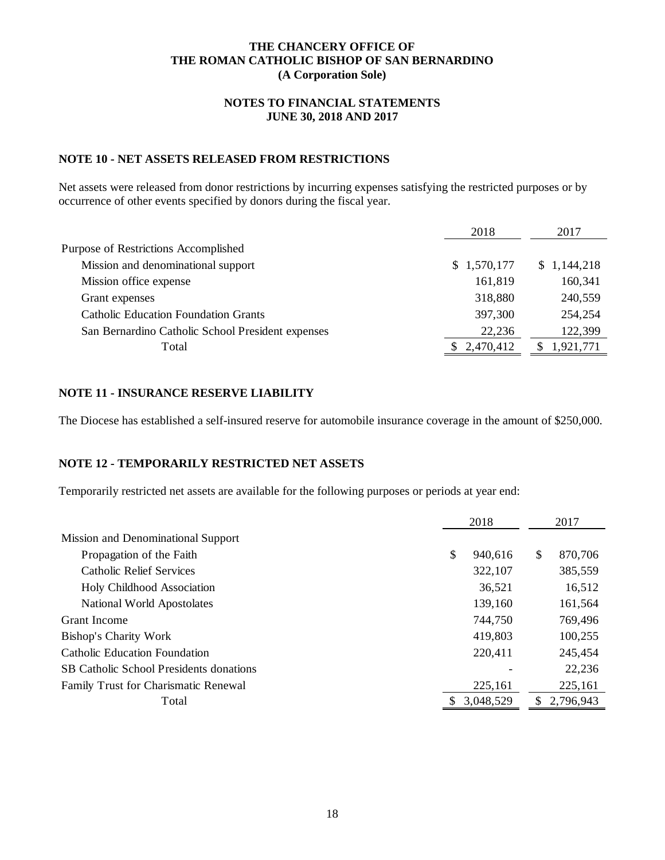# **NOTES TO FINANCIAL STATEMENTS JUNE 30, 2018 AND 2017**

# **NOTE 10 - NET ASSETS RELEASED FROM RESTRICTIONS**

Net assets were released from donor restrictions by incurring expenses satisfying the restricted purposes or by occurrence of other events specified by donors during the fiscal year.

|                                                   | 2018        | 2017        |
|---------------------------------------------------|-------------|-------------|
| Purpose of Restrictions Accomplished              |             |             |
| Mission and denominational support                | \$1,570,177 | \$1,144,218 |
| Mission office expense                            | 161,819     | 160,341     |
| Grant expenses                                    | 318,880     | 240,559     |
| <b>Catholic Education Foundation Grants</b>       | 397,300     | 254,254     |
| San Bernardino Catholic School President expenses | 22,236      | 122,399     |
| Total                                             | \$2,470,412 | 1,921,771   |

# **NOTE 11 - INSURANCE RESERVE LIABILITY**

The Diocese has established a self-insured reserve for automobile insurance coverage in the amount of \$250,000.

# **NOTE 12 - TEMPORARILY RESTRICTED NET ASSETS**

Temporarily restricted net assets are available for the following purposes or periods at year end:

|                                                | 2018          | 2017          |
|------------------------------------------------|---------------|---------------|
| Mission and Denominational Support             |               |               |
| Propagation of the Faith                       | \$<br>940.616 | \$<br>870,706 |
| <b>Catholic Relief Services</b>                | 322,107       | 385,559       |
| Holy Childhood Association                     | 36,521        | 16,512        |
| <b>National World Apostolates</b>              | 139,160       | 161,564       |
| <b>Grant Income</b>                            | 744,750       | 769,496       |
| Bishop's Charity Work                          | 419,803       | 100,255       |
| Catholic Education Foundation                  | 220,411       | 245.454       |
| <b>SB</b> Catholic School Presidents donations |               | 22,236        |
| Family Trust for Charismatic Renewal           | 225,161       | 225,161       |
| Total                                          | 3,048,529     | 2,796,943     |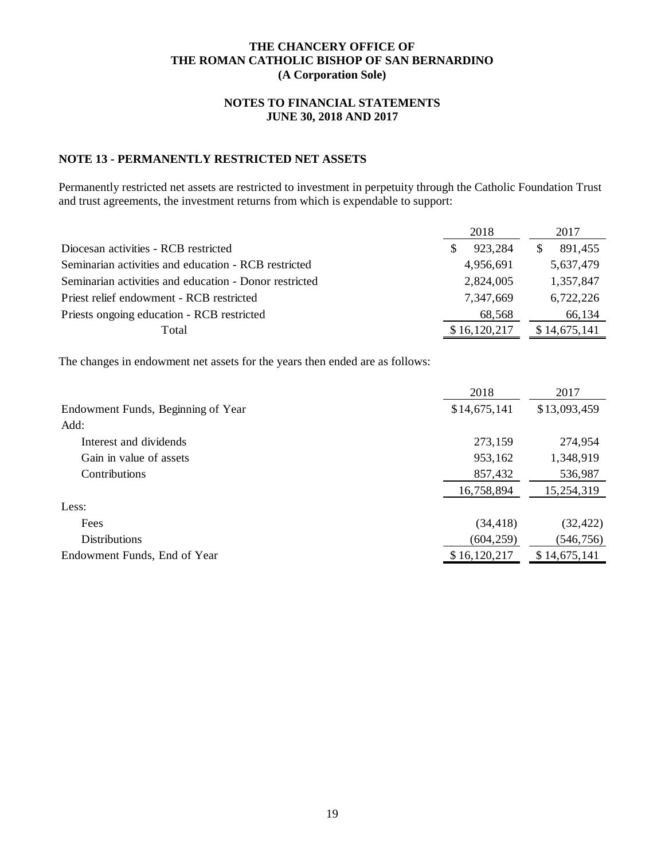# **NOTES TO FINANCIAL STATEMENTS JUNE 30, 2018 AND 2017**

# **NOTE 13 - PERMANENTLY RESTRICTED NET ASSETS**

Permanently restricted net assets are restricted to investment in perpetuity through the Catholic Foundation Trust and trust agreements, the investment returns from which is expendable to support:

|                                                        | 2018          | 2017         |
|--------------------------------------------------------|---------------|--------------|
| Diocesan activities - RCB restricted                   | 923.284<br>S. | 891,455<br>S |
| Seminarian activities and education - RCB restricted   | 4,956,691     | 5,637,479    |
| Seminarian activities and education - Donor restricted | 2,824,005     | 1,357,847    |
| Priest relief endowment - RCB restricted               | 7,347,669     | 6,722,226    |
| Priests ongoing education - RCB restricted             | 68,568        | 66,134       |
| Total                                                  | \$16,120,217  | \$14,675,141 |

The changes in endowment net assets for the years then ended are as follows:

|                                    | 2018         | 2017         |
|------------------------------------|--------------|--------------|
| Endowment Funds, Beginning of Year | \$14,675,141 | \$13,093,459 |
| Add:                               |              |              |
| Interest and dividends             | 273,159      | 274,954      |
| Gain in value of assets            | 953,162      | 1,348,919    |
| Contributions                      | 857,432      | 536,987      |
|                                    | 16,758,894   | 15,254,319   |
| Less:                              |              |              |
| Fees                               | (34, 418)    | (32, 422)    |
| <b>Distributions</b>               | (604, 259)   | (546, 756)   |
| Endowment Funds, End of Year       | \$16,120,217 | \$14,675,141 |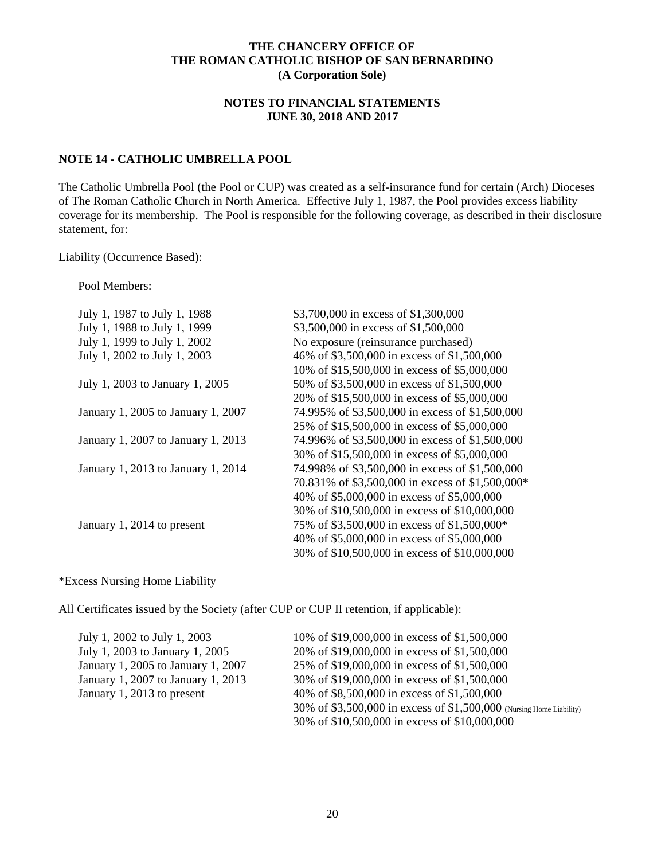# **NOTES TO FINANCIAL STATEMENTS JUNE 30, 2018 AND 2017**

# **NOTE 14 - CATHOLIC UMBRELLA POOL**

The Catholic Umbrella Pool (the Pool or CUP) was created as a self-insurance fund for certain (Arch) Dioceses of The Roman Catholic Church in North America. Effective July 1, 1987, the Pool provides excess liability coverage for its membership. The Pool is responsible for the following coverage, as described in their disclosure statement, for:

#### Liability (Occurrence Based):

#### Pool Members:

| July 1, 1987 to July 1, 1988       | \$3,700,000 in excess of \$1,300,000             |
|------------------------------------|--------------------------------------------------|
| July 1, 1988 to July 1, 1999       | \$3,500,000 in excess of \$1,500,000             |
| July 1, 1999 to July 1, 2002       | No exposure (reinsurance purchased)              |
| July 1, 2002 to July 1, 2003       | 46% of \$3,500,000 in excess of \$1,500,000      |
|                                    | 10% of \$15,500,000 in excess of \$5,000,000     |
| July 1, 2003 to January 1, 2005    | 50% of \$3,500,000 in excess of \$1,500,000      |
|                                    | 20% of \$15,500,000 in excess of \$5,000,000     |
| January 1, 2005 to January 1, 2007 | 74.995% of \$3,500,000 in excess of \$1,500,000  |
|                                    | 25% of \$15,500,000 in excess of \$5,000,000     |
| January 1, 2007 to January 1, 2013 | 74.996% of \$3,500,000 in excess of \$1,500,000  |
|                                    | 30% of \$15,500,000 in excess of \$5,000,000     |
| January 1, 2013 to January 1, 2014 | 74.998% of \$3,500,000 in excess of \$1,500,000  |
|                                    | 70.831% of \$3,500,000 in excess of \$1,500,000* |
|                                    | 40% of \$5,000,000 in excess of \$5,000,000      |
|                                    | 30% of \$10,500,000 in excess of \$10,000,000    |
| January 1, 2014 to present         | 75% of \$3,500,000 in excess of \$1,500,000*     |
|                                    | 40% of \$5,000,000 in excess of \$5,000,000      |
|                                    | 30% of \$10,500,000 in excess of \$10,000,000    |

# \*Excess Nursing Home Liability

All Certificates issued by the Society (after CUP or CUP II retention, if applicable):

| July 1, 2002 to July 1, 2003       | 10% of \$19,000,000 in excess of \$1,500,000                         |
|------------------------------------|----------------------------------------------------------------------|
| July 1, 2003 to January 1, 2005    | 20% of \$19,000,000 in excess of \$1,500,000                         |
| January 1, 2005 to January 1, 2007 | 25% of \$19,000,000 in excess of \$1,500,000                         |
| January 1, 2007 to January 1, 2013 | 30% of \$19,000,000 in excess of \$1,500,000                         |
| January 1, 2013 to present         | 40% of \$8,500,000 in excess of \$1,500,000                          |
|                                    | 30% of \$3,500,000 in excess of \$1,500,000 (Nursing Home Liability) |
|                                    | 30% of \$10,500,000 in excess of \$10,000,000                        |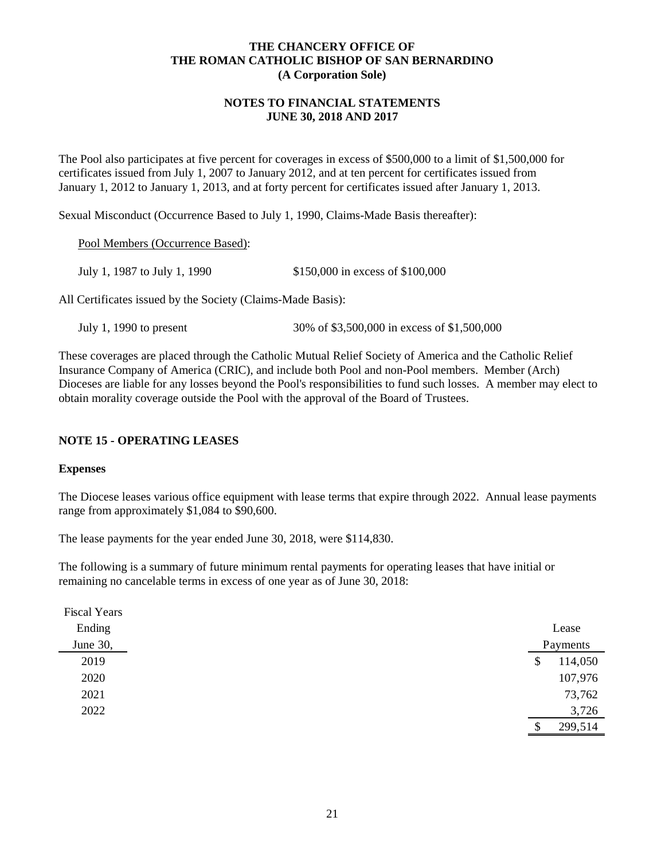# **NOTES TO FINANCIAL STATEMENTS JUNE 30, 2018 AND 2017**

The Pool also participates at five percent for coverages in excess of \$500,000 to a limit of \$1,500,000 for certificates issued from July 1, 2007 to January 2012, and at ten percent for certificates issued from January 1, 2012 to January 1, 2013, and at forty percent for certificates issued after January 1, 2013.

Sexual Misconduct (Occurrence Based to July 1, 1990, Claims-Made Basis thereafter):

Pool Members (Occurrence Based):

July 1, 1987 to July 1, 1990 \$150,000 in excess of \$100,000

All Certificates issued by the Society (Claims-Made Basis):

These coverages are placed through the Catholic Mutual Relief Society of America and the Catholic Relief Insurance Company of America (CRIC), and include both Pool and non-Pool members. Member (Arch) Dioceses are liable for any losses beyond the Pool's responsibilities to fund such losses. A member may elect to obtain morality coverage outside the Pool with the approval of the Board of Trustees.

# **NOTE 15 - OPERATING LEASES**

#### **Expenses**

The Diocese leases various office equipment with lease terms that expire through 2022. Annual lease payments range from approximately \$1,084 to \$90,600.

The lease payments for the year ended June 30, 2018, were \$114,830.

The following is a summary of future minimum rental payments for operating leases that have initial or remaining no cancelable terms in excess of one year as of June 30, 2018:

| <b>Fiscal Years</b> |               |
|---------------------|---------------|
| Ending              | Lease         |
| June $30$ ,         | Payments      |
| 2019                | 114,050<br>\$ |
| 2020                | 107,976       |
| 2021                | 73,762        |
| 2022                | 3,726         |
|                     | 299,514<br>\$ |